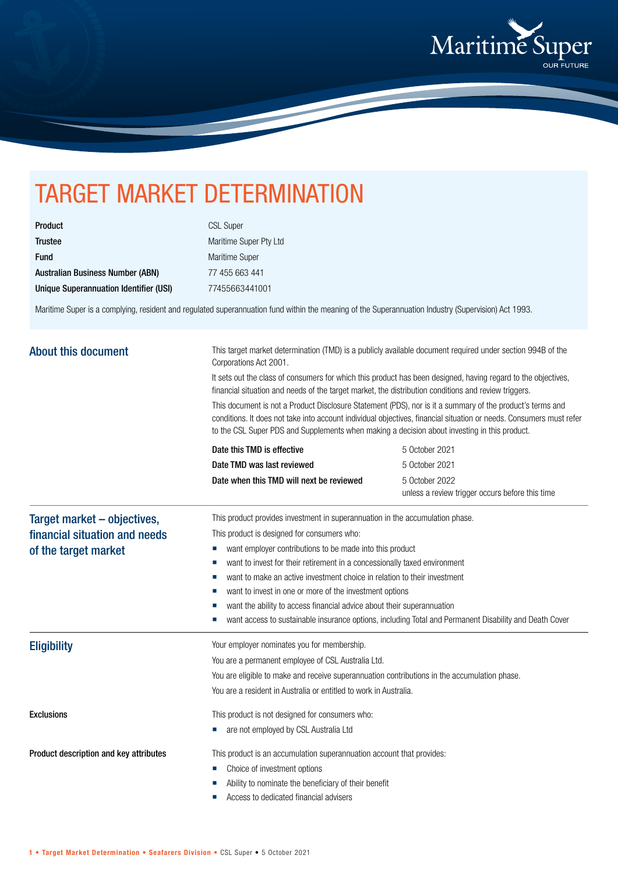

## TARGET MARKET DETERMINATION

| Product                                 |  |
|-----------------------------------------|--|
| <b>Trustee</b>                          |  |
| <b>Fund</b>                             |  |
| <b>Australian Business Number (ABN)</b> |  |
| Unique Superannuation Identifier (USI)  |  |

CSL Super Maritime Super Pty Ltd Maritime Super 77 455 663 441 Unique Superannuation Identifier (USI) 77455663441001

Maritime Super is a complying, resident and regulated superannuation fund within the meaning of the Superannuation Industry (Supervision) Act 1993.

| <b>About this document</b>                            | This target market determination (TMD) is a publicly available document required under section 994B of the<br>Corporations Act 2001.<br>It sets out the class of consumers for which this product has been designed, having regard to the objectives,<br>financial situation and needs of the target market, the distribution conditions and review triggers.<br>This document is not a Product Disclosure Statement (PDS), nor is it a summary of the product's terms and<br>conditions. It does not take into account individual objectives, financial situation or needs. Consumers must refer<br>to the CSL Super PDS and Supplements when making a decision about investing in this product. |                                                                                                        |  |  |                            |                |
|-------------------------------------------------------|---------------------------------------------------------------------------------------------------------------------------------------------------------------------------------------------------------------------------------------------------------------------------------------------------------------------------------------------------------------------------------------------------------------------------------------------------------------------------------------------------------------------------------------------------------------------------------------------------------------------------------------------------------------------------------------------------|--------------------------------------------------------------------------------------------------------|--|--|----------------------------|----------------|
|                                                       |                                                                                                                                                                                                                                                                                                                                                                                                                                                                                                                                                                                                                                                                                                   |                                                                                                        |  |  | Date this TMD is effective | 5 October 2021 |
|                                                       |                                                                                                                                                                                                                                                                                                                                                                                                                                                                                                                                                                                                                                                                                                   |                                                                                                        |  |  | Date TMD was last reviewed | 5 October 2021 |
|                                                       | Date when this TMD will next be reviewed                                                                                                                                                                                                                                                                                                                                                                                                                                                                                                                                                                                                                                                          | 5 October 2022<br>unless a review trigger occurs before this time                                      |  |  |                            |                |
| Target market - objectives,                           | This product provides investment in superannuation in the accumulation phase.                                                                                                                                                                                                                                                                                                                                                                                                                                                                                                                                                                                                                     |                                                                                                        |  |  |                            |                |
| financial situation and needs<br>of the target market | This product is designed for consumers who:                                                                                                                                                                                                                                                                                                                                                                                                                                                                                                                                                                                                                                                       |                                                                                                        |  |  |                            |                |
|                                                       | want employer contributions to be made into this product<br>ш                                                                                                                                                                                                                                                                                                                                                                                                                                                                                                                                                                                                                                     |                                                                                                        |  |  |                            |                |
|                                                       | want to invest for their retirement in a concessionally taxed environment<br>ш                                                                                                                                                                                                                                                                                                                                                                                                                                                                                                                                                                                                                    |                                                                                                        |  |  |                            |                |
|                                                       | want to make an active investment choice in relation to their investment                                                                                                                                                                                                                                                                                                                                                                                                                                                                                                                                                                                                                          |                                                                                                        |  |  |                            |                |
|                                                       | want to invest in one or more of the investment options<br>want the ability to access financial advice about their superannuation                                                                                                                                                                                                                                                                                                                                                                                                                                                                                                                                                                 |                                                                                                        |  |  |                            |                |
|                                                       |                                                                                                                                                                                                                                                                                                                                                                                                                                                                                                                                                                                                                                                                                                   | want access to sustainable insurance options, including Total and Permanent Disability and Death Cover |  |  |                            |                |
| <b>Eligibility</b>                                    | Your employer nominates you for membership.                                                                                                                                                                                                                                                                                                                                                                                                                                                                                                                                                                                                                                                       |                                                                                                        |  |  |                            |                |
|                                                       | You are a permanent employee of CSL Australia Ltd.                                                                                                                                                                                                                                                                                                                                                                                                                                                                                                                                                                                                                                                |                                                                                                        |  |  |                            |                |
|                                                       | You are eligible to make and receive superannuation contributions in the accumulation phase.                                                                                                                                                                                                                                                                                                                                                                                                                                                                                                                                                                                                      |                                                                                                        |  |  |                            |                |
|                                                       | You are a resident in Australia or entitled to work in Australia.                                                                                                                                                                                                                                                                                                                                                                                                                                                                                                                                                                                                                                 |                                                                                                        |  |  |                            |                |
| <b>Exclusions</b>                                     | This product is not designed for consumers who:                                                                                                                                                                                                                                                                                                                                                                                                                                                                                                                                                                                                                                                   |                                                                                                        |  |  |                            |                |
|                                                       | are not employed by CSL Australia Ltd                                                                                                                                                                                                                                                                                                                                                                                                                                                                                                                                                                                                                                                             |                                                                                                        |  |  |                            |                |
| Product description and key attributes                | This product is an accumulation superannuation account that provides:                                                                                                                                                                                                                                                                                                                                                                                                                                                                                                                                                                                                                             |                                                                                                        |  |  |                            |                |
|                                                       | Choice of investment options                                                                                                                                                                                                                                                                                                                                                                                                                                                                                                                                                                                                                                                                      |                                                                                                        |  |  |                            |                |
|                                                       | Ability to nominate the beneficiary of their benefit                                                                                                                                                                                                                                                                                                                                                                                                                                                                                                                                                                                                                                              |                                                                                                        |  |  |                            |                |
|                                                       | Access to dedicated financial advisers                                                                                                                                                                                                                                                                                                                                                                                                                                                                                                                                                                                                                                                            |                                                                                                        |  |  |                            |                |
|                                                       |                                                                                                                                                                                                                                                                                                                                                                                                                                                                                                                                                                                                                                                                                                   |                                                                                                        |  |  |                            |                |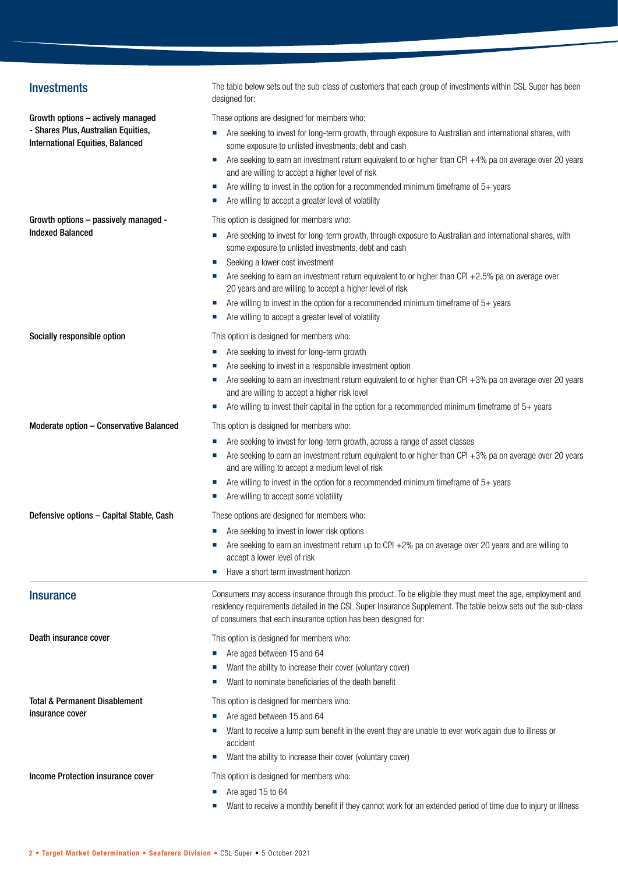| <b>Investments</b>                                                      | The table below sets out the sub-class of customers that each group of investments within CSL Super has been<br>designed for:                                                                                                                                                                                                                                                                                                                                                                                      |
|-------------------------------------------------------------------------|--------------------------------------------------------------------------------------------------------------------------------------------------------------------------------------------------------------------------------------------------------------------------------------------------------------------------------------------------------------------------------------------------------------------------------------------------------------------------------------------------------------------|
| Growth options - actively managed                                       | These options are designed for members who:                                                                                                                                                                                                                                                                                                                                                                                                                                                                        |
| - Shares Plus, Australian Equities,<br>International Equities, Balanced | Are seeking to invest for long-term growth, through exposure to Australian and international shares, with<br>ш<br>some exposure to unlisted investments, debt and cash<br>Are seeking to earn an investment return equivalent to or higher than CPI $+4\%$ pa on average over 20 years<br>ш<br>and are willing to accept a higher level of risk                                                                                                                                                                    |
|                                                                         | Are willing to invest in the option for a recommended minimum timeframe of $5+$ years<br>ш<br>Are willing to accept a greater level of volatility                                                                                                                                                                                                                                                                                                                                                                  |
| Growth options - passively managed -<br><b>Indexed Balanced</b>         | This option is designed for members who:<br>Are seeking to invest for long-term growth, through exposure to Australian and international shares, with<br>some exposure to unlisted investments, debt and cash<br>Seeking a lower cost investment<br>Are seeking to earn an investment return equivalent to or higher than CPI +2.5% pa on average over<br>20 years and are willing to accept a higher level of risk<br>Are willing to invest in the option for a recommended minimum timeframe of $5+$ years<br>×, |
|                                                                         | Are willing to accept a greater level of volatility<br>ш                                                                                                                                                                                                                                                                                                                                                                                                                                                           |
| Socially responsible option                                             | This option is designed for members who:                                                                                                                                                                                                                                                                                                                                                                                                                                                                           |
|                                                                         | Are seeking to invest for long-term growth                                                                                                                                                                                                                                                                                                                                                                                                                                                                         |
|                                                                         | Are seeking to invest in a responsible investment option                                                                                                                                                                                                                                                                                                                                                                                                                                                           |
|                                                                         | Are seeking to earn an investment return equivalent to or higher than CPI +3% pa on average over 20 years                                                                                                                                                                                                                                                                                                                                                                                                          |
|                                                                         | and are willing to accept a higher risk level                                                                                                                                                                                                                                                                                                                                                                                                                                                                      |
|                                                                         | Are willing to invest their capital in the option for a recommended minimum timeframe of $5+$ years                                                                                                                                                                                                                                                                                                                                                                                                                |
| Moderate option - Conservative Balanced                                 | This option is designed for members who:                                                                                                                                                                                                                                                                                                                                                                                                                                                                           |
|                                                                         | Are seeking to invest for long-term growth, across a range of asset classes<br>ш<br>Are seeking to earn an investment return equivalent to or higher than CPI +3% pa on average over 20 years<br>and are willing to accept a medium level of risk                                                                                                                                                                                                                                                                  |
|                                                                         | Are willing to invest in the option for a recommended minimum timeframe of $5+$ years<br>Are willing to accept some volatility                                                                                                                                                                                                                                                                                                                                                                                     |
| Defensive options - Capital Stable, Cash                                | These options are designed for members who:                                                                                                                                                                                                                                                                                                                                                                                                                                                                        |
|                                                                         | Are seeking to invest in lower risk options<br>ш                                                                                                                                                                                                                                                                                                                                                                                                                                                                   |
|                                                                         | Are seeking to earn an investment return up to CPI +2% pa on average over 20 years and are willing to<br>accept a lower level of risk                                                                                                                                                                                                                                                                                                                                                                              |
|                                                                         | Have a short term investment horizon<br>×,                                                                                                                                                                                                                                                                                                                                                                                                                                                                         |
| <b>Insurance</b>                                                        | Consumers may access insurance through this product. To be eligible they must meet the age, employment and<br>residency requirements detailed in the CSL Super Insurance Supplement. The table below sets out the sub-class<br>of consumers that each insurance option has been designed for:                                                                                                                                                                                                                      |
| Death insurance cover                                                   | This option is designed for members who:                                                                                                                                                                                                                                                                                                                                                                                                                                                                           |
|                                                                         | Are aged between 15 and 64                                                                                                                                                                                                                                                                                                                                                                                                                                                                                         |
|                                                                         | Want the ability to increase their cover (voluntary cover)                                                                                                                                                                                                                                                                                                                                                                                                                                                         |
|                                                                         | Want to nominate beneficiaries of the death benefit                                                                                                                                                                                                                                                                                                                                                                                                                                                                |
| <b>Total &amp; Permanent Disablement</b>                                | This option is designed for members who:                                                                                                                                                                                                                                                                                                                                                                                                                                                                           |
| insurance cover                                                         | Are aged between 15 and 64<br>ш                                                                                                                                                                                                                                                                                                                                                                                                                                                                                    |
|                                                                         | Want to receive a lump sum benefit in the event they are unable to ever work again due to illness or<br>accident                                                                                                                                                                                                                                                                                                                                                                                                   |
|                                                                         | Want the ability to increase their cover (voluntary cover)                                                                                                                                                                                                                                                                                                                                                                                                                                                         |
| Income Protection insurance cover                                       | This option is designed for members who:                                                                                                                                                                                                                                                                                                                                                                                                                                                                           |
|                                                                         | Are aged 15 to 64                                                                                                                                                                                                                                                                                                                                                                                                                                                                                                  |
|                                                                         | Want to receive a monthly benefit if they cannot work for an extended period of time due to injury or illness                                                                                                                                                                                                                                                                                                                                                                                                      |